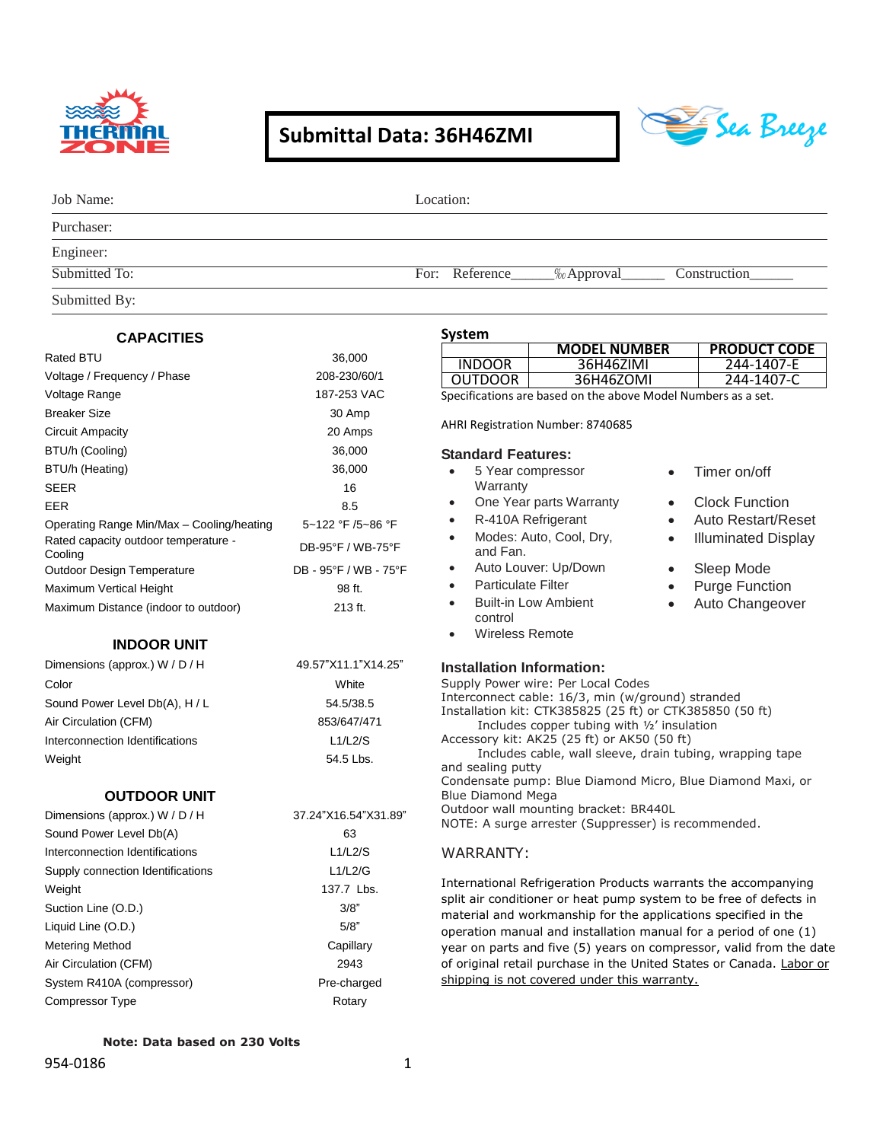

## **Submittal Data: 36H46ZMI**



| Job Name:     | Location:                                         |  |  |  |
|---------------|---------------------------------------------------|--|--|--|
| Purchaser:    |                                                   |  |  |  |
| Engineer:     |                                                   |  |  |  |
| Submitted To: | For: Reference______% Approval___<br>Construction |  |  |  |
| Submitted By: |                                                   |  |  |  |

**System**

|  | <b>CAPACITIES</b> |
|--|-------------------|
|--|-------------------|

| Rated BTU                                       | 36,000                |                                                                                                                                         | <b>MODEL NUMBER</b>                                                                                                                                                                                                                               | <b>PRODUCT CODE</b>                 |  |
|-------------------------------------------------|-----------------------|-----------------------------------------------------------------------------------------------------------------------------------------|---------------------------------------------------------------------------------------------------------------------------------------------------------------------------------------------------------------------------------------------------|-------------------------------------|--|
|                                                 |                       | <b>INDOOR</b>                                                                                                                           | 36H46ZIMI                                                                                                                                                                                                                                         | 244-1407-E                          |  |
| Voltage / Frequency / Phase                     | 208-230/60/1          | <b>OUTDOOR</b>                                                                                                                          | 36H46ZOMI                                                                                                                                                                                                                                         | 244-1407-C                          |  |
| Voltage Range                                   | 187-253 VAC           | Specifications are based on the above Model Numbers as a set.                                                                           |                                                                                                                                                                                                                                                   |                                     |  |
| <b>Breaker Size</b>                             | 30 Amp                | AHRI Registration Number: 8740685                                                                                                       |                                                                                                                                                                                                                                                   |                                     |  |
| <b>Circuit Ampacity</b>                         | 20 Amps               |                                                                                                                                         |                                                                                                                                                                                                                                                   |                                     |  |
| BTU/h (Cooling)                                 | 36,000                | <b>Standard Features:</b>                                                                                                               |                                                                                                                                                                                                                                                   |                                     |  |
| BTU/h (Heating)                                 | 36,000                | 5 Year compressor<br>Timer on/off<br>$\bullet$<br>$\bullet$                                                                             |                                                                                                                                                                                                                                                   |                                     |  |
| <b>SEER</b>                                     | 16                    | Warranty                                                                                                                                |                                                                                                                                                                                                                                                   |                                     |  |
| EER                                             | 8.5                   | $\bullet$                                                                                                                               | One Year parts Warranty<br>$\bullet$                                                                                                                                                                                                              | <b>Clock Function</b>               |  |
| Operating Range Min/Max - Cooling/heating       | 5~122 °F /5~86 °F     | R-410A Refrigerant<br>$\bullet$                                                                                                         | $\bullet$                                                                                                                                                                                                                                         | <b>Auto Restart/Reset</b>           |  |
| Rated capacity outdoor temperature -<br>Cooling | DB-95°F / WB-75°F     | Modes: Auto, Cool, Dry,<br>$\bullet$<br>and Fan.                                                                                        |                                                                                                                                                                                                                                                   | <b>Illuminated Display</b>          |  |
| Outdoor Design Temperature                      | DB - 95°F / WB - 75°F | $\bullet$                                                                                                                               | Auto Louver: Up/Down<br>$\bullet$                                                                                                                                                                                                                 | Sleep Mode<br><b>Purge Function</b> |  |
| Maximum Vertical Height                         | 98 ft.                | $\bullet$                                                                                                                               | <b>Particulate Filter</b><br>$\bullet$                                                                                                                                                                                                            |                                     |  |
| Maximum Distance (indoor to outdoor)            | 213 ft.               | <b>Built-in Low Ambient</b><br>$\bullet$<br>control                                                                                     | $\bullet$                                                                                                                                                                                                                                         | Auto Changeover                     |  |
| <b>INDOOR UNIT</b>                              |                       | <b>Wireless Remote</b>                                                                                                                  |                                                                                                                                                                                                                                                   |                                     |  |
| Dimensions (approx.) W / D / H                  | 49.57"X11.1"X14.25"   | <b>Installation Information:</b>                                                                                                        |                                                                                                                                                                                                                                                   |                                     |  |
| Color                                           | White                 |                                                                                                                                         | Supply Power wire: Per Local Codes<br>Interconnect cable: 16/3, min (w/ground) stranded<br>Installation kit: CTK385825 (25 ft) or CTK385850 (50 ft)<br>Includes copper tubing with 1/2' insulation<br>Accessory kit: AK25 (25 ft) or AK50 (50 ft) |                                     |  |
| Sound Power Level Db(A), H / L                  | 54.5/38.5             |                                                                                                                                         |                                                                                                                                                                                                                                                   |                                     |  |
| Air Circulation (CFM)                           | 853/647/471           |                                                                                                                                         |                                                                                                                                                                                                                                                   |                                     |  |
| Interconnection Identifications                 | L1/L2/S               |                                                                                                                                         |                                                                                                                                                                                                                                                   |                                     |  |
| Weight                                          | 54.5 Lbs.             | and sealing putty                                                                                                                       | Includes cable, wall sleeve, drain tubing, wrapping tape                                                                                                                                                                                          |                                     |  |
|                                                 |                       |                                                                                                                                         | Condensate pump: Blue Diamond Micro, Blue Diamond Maxi, or                                                                                                                                                                                        |                                     |  |
| <b>OUTDOOR UNIT</b>                             |                       | <b>Blue Diamond Mega</b>                                                                                                                |                                                                                                                                                                                                                                                   |                                     |  |
| Dimensions (approx.) W / D / H                  | 37.24"X16.54"X31.89"  | Outdoor wall mounting bracket: BR440L<br>NOTE: A surge arrester (Suppresser) is recommended.                                            |                                                                                                                                                                                                                                                   |                                     |  |
| Sound Power Level Db(A)                         | 63                    |                                                                                                                                         |                                                                                                                                                                                                                                                   |                                     |  |
| Interconnection Identifications                 | L1/L2/S               | <b>WARRANTY:</b>                                                                                                                        |                                                                                                                                                                                                                                                   |                                     |  |
| Supply connection Identifications               | L1/L2/G               |                                                                                                                                         |                                                                                                                                                                                                                                                   |                                     |  |
| Weight                                          | 137.7 Lbs.            |                                                                                                                                         | International Refrigeration Products warrants the accompanying                                                                                                                                                                                    |                                     |  |
| Suction Line (O.D.)                             | 3/8"                  | split air conditioner or heat pump system to be free of defects in<br>material and workmanship for the applications specified in the    |                                                                                                                                                                                                                                                   |                                     |  |
| Liquid Line (O.D.)                              | 5/8"                  | operation manual and installation manual for a period of one (1)<br>year on parts and five (5) years on compressor, valid from the date |                                                                                                                                                                                                                                                   |                                     |  |
| <b>Metering Method</b>                          | Capillary             |                                                                                                                                         |                                                                                                                                                                                                                                                   |                                     |  |

#### Air Circulation (CFM) 2943 System R410A (compressor) Pre-charged Compressor Type Rotary of original retail purchase in the United States or Canada. Labor or shipping is not covered under this warranty.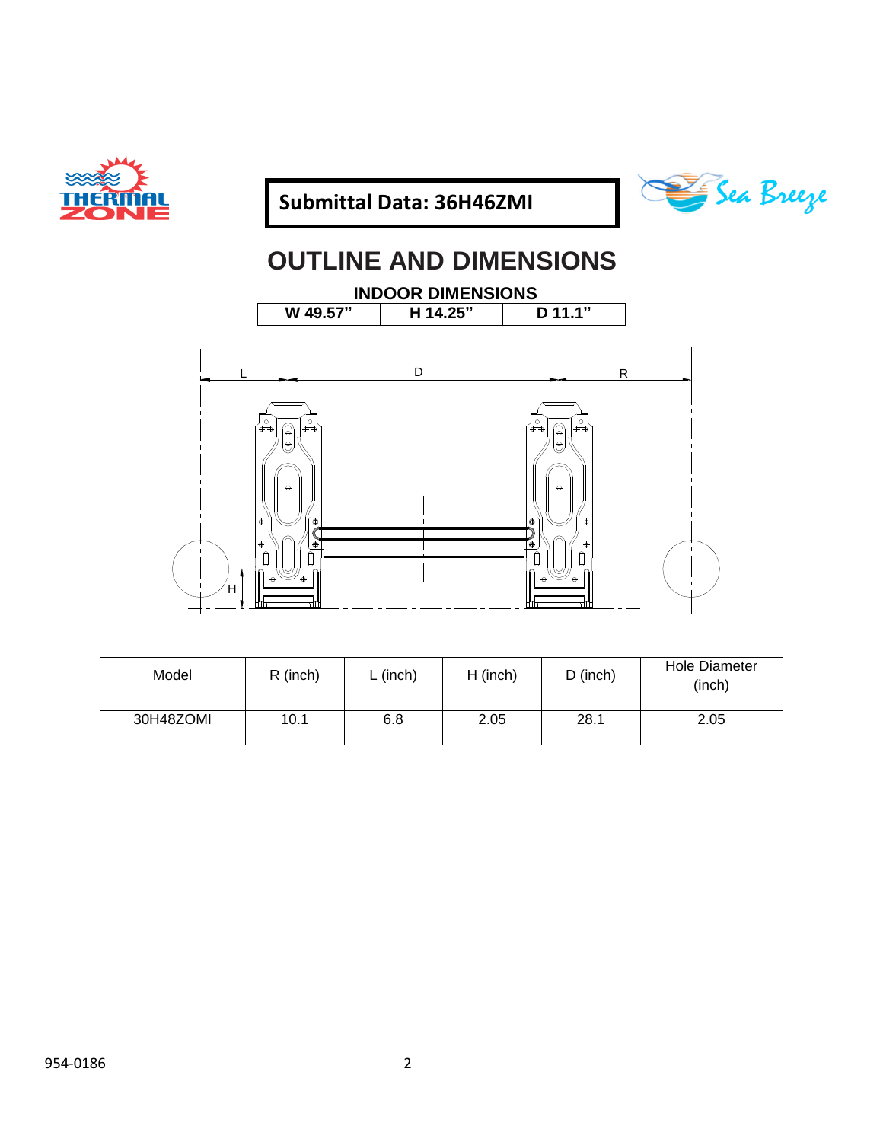





# **OUTLINE AND DIMENSIONS**

**INDOOR DIMENSIONS**<br> **W** 49.57" | H 14.25" | D 11.1" **W 49.57" H 14.25" D 11.1"**



| Model     | R (inch) | $L$ (inch) | $H$ (inch) | $D$ (inch) | <b>Hole Diameter</b><br>(inch) |
|-----------|----------|------------|------------|------------|--------------------------------|
| 30H48ZOMI | 10.1     | 6.8        | 2.05       | 28.1       | 2.05                           |